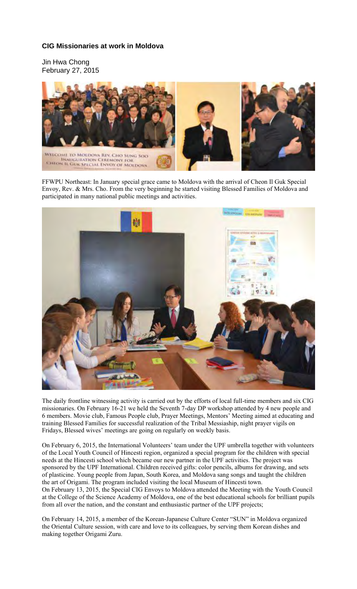## **CIG Missionaries at work in Moldova**

Jin Hwa Chong February 27, 2015



FFWPU Northeast: In January special grace came to Moldova with the arrival of Cheon Il Guk Special Envoy, Rev. & Mrs. Cho. From the very beginning he started visiting Blessed Families of Moldova and participated in many national public meetings and activities.



The daily frontline witnessing activity is carried out by the efforts of local full-time members and six CIG missionaries. On February 16-21 we held the Seventh 7-day DP workshop attended by 4 new people and 6 members. Movie club, Famous People club, Prayer Meetings, Mentors' Meeting aimed at educating and training Blessed Families for successful realization of the Tribal Messiaship, night prayer vigils on Fridays, Blessed wives' meetings are going on regularly on weekly basis.

On February 6, 2015, the International Volunteers' team under the UPF umbrella together with volunteers of the Local Youth Council of Hincesti region, organized a special program for the children with special needs at the Hincesti school which became our new partner in the UPF activities. The project was sponsored by the UPF International. Children received gifts: color pencils, albums for drawing, and sets of plasticine. Young people from Japan, South Korea, and Moldova sang songs and taught the children the art of Origami. The program included visiting the local Museum of Hincesti town. On February 13, 2015, the Special CIG Envoys to Moldova attended the Meeting with the Youth Council at the College of the Science Academy of Moldova, one of the best educational schools for brilliant pupils from all over the nation, and the constant and enthusiastic partner of the UPF projects;

On February 14, 2015, a member of the Korean-Japanese Culture Center "SUN" in Moldova organized the Oriental Culture session, with care and love to its colleagues, by serving them Korean dishes and making together Origami Zuru.